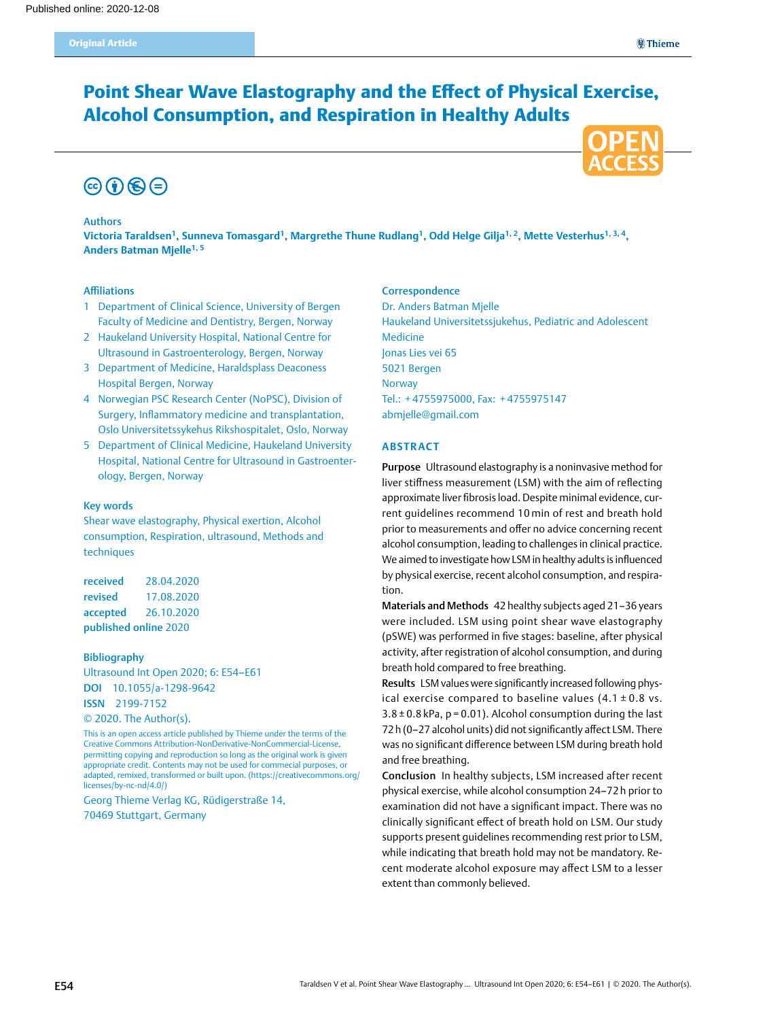# Point Shear Wave Elastography and the Effect of Physical Exercise, Alcohol Consumption, and Respiration in Healthy Adults



#### Authors

**Victoria Taraldsen1, Sunneva Tomasgard1, Margrethe Thune Rudlang1, Odd Helge Gilja1, 2, Mette Vesterhus1, 3, 4, Anders Batman Mjelle1, 5**

#### Affiliations

- 1 Department of Clinical Science, University of Bergen Faculty of Medicine and Dentistry, Bergen, Norway
- 2 Haukeland University Hospital, National Centre for Ultrasound in Gastroenterology, Bergen, Norway
- 3 Department of Medicine, Haraldsplass Deaconess Hospital Bergen, Norway
- 4 Norwegian PSC Research Center (NoPSC), Division of Surgery, Inflammatory medicine and transplantation, Oslo Universitetssykehus Rikshospitalet, Oslo, Norway
- 5 Department of Clinical Medicine, Haukeland University Hospital, National Centre for Ultrasound in Gastroenterology, Bergen, Norway

#### Key words

Shear wave elastography, Physical exertion, Alcohol consumption, Respiration, ultrasound, Methods and techniques

received 28.04.2020 revised 17.08.2020 accepted 26.10.2020 published online 2020

## Bibliography

Ultrasound Int Open 2020; 6: E54–E61 DOI [10.1055/a-1298-9642](https://doi.org/10.1055/a-1298-9642) ISSN 2199-7152 © 2020. The Author(s).

This is an open access article published by Thieme under the terms of the Creative Commons Attribution-NonDerivative-NonCommercial-License, permitting copying and reproduction so long as the original work is given appropriate credit. Contents may not be used for commecial purposes, or adapted, remixed, transformed or built upon. (https://creativecommons.org/ licenses/by-nc-nd/4.0/)

Georg Thieme Verlag KG, Rüdigerstraße 14, 70469 Stuttgart, Germany

### **Correspondence**

Dr. Anders Batman Mjelle Haukeland Universitetssjukehus, Pediatric and Adolescent Medicine Jonas Lies vei 65 5021 Bergen **Norway** Tel.: + 4755975000, Fax: + 4755975147 [abmjelle@gmail.com](mailto:abmjelle@gmail.com)

#### **Abstract**

Purpose Ultrasound elastography is a noninvasive method for liver stiffness measurement (LSM) with the aim of reflecting approximate liver fibrosis load. Despite minimal evidence, current guidelines recommend 10 min of rest and breath hold prior to measurements and offer no advice concerning recent alcohol consumption, leading to challenges in clinical practice. We aimed to investigate how LSM in healthy adults is influenced by physical exercise, recent alcohol consumption, and respiration.

Materials and Methods 42 healthy subjects aged 21–36 years were included. LSM using point shear wave elastography (pSWE) was performed in five stages: baseline, after physical activity, after registration of alcohol consumption, and during breath hold compared to free breathing.

Results LSM values were significantly increased following physical exercise compared to baseline values  $(4.1 \pm 0.8 \text{ vs.})$  $3.8 \pm 0.8$  kPa, p = 0.01). Alcohol consumption during the last 72h (0–27 alcohol units) did not significantly affect LSM. There was no significant difference between LSM during breath hold and free breathing.

Conclusion In healthy subjects, LSM increased after recent physical exercise, while alcohol consumption 24–72 h prior to examination did not have a significant impact. There was no clinically significant effect of breath hold on LSM. Our study supports present guidelines recommending rest prior to LSM, while indicating that breath hold may not be mandatory. Recent moderate alcohol exposure may affect LSM to a lesser extent than commonly believed.

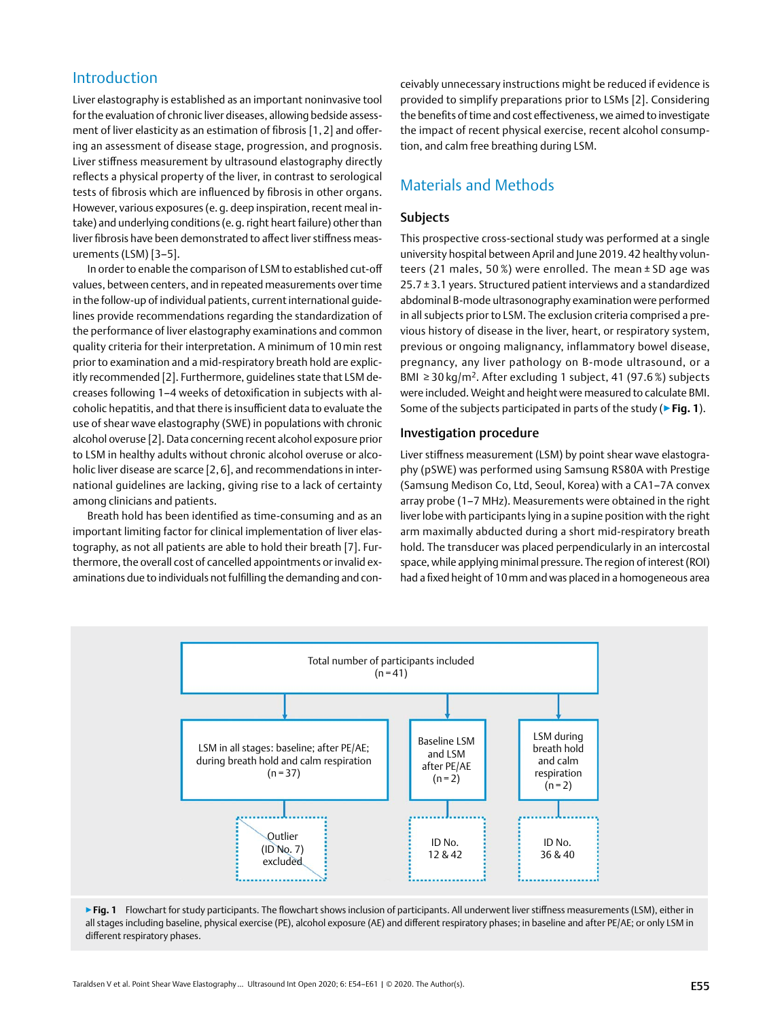## Introduction

Liver elastography is established as an important noninvasive tool for the evaluation of chronic liver diseases, allowing bedside assessment of liver elasticity as an estimation of fibrosis [1, 2] and offering an assessment of disease stage, progression, and prognosis. Liver stiffness measurement by ultrasound elastography directly reflects a physical property of the liver, in contrast to serological tests of fibrosis which are influenced by fibrosis in other organs. However, various exposures (e. g. deep inspiration, recent meal intake) and underlying conditions (e.g. right heart failure) other than liver fibrosis have been demonstrated to affect liver stiffness measurements (LSM) [3–5].

In order to enable the comparison of LSM to established cut-off values, between centers, and in repeated measurements over time in the follow-up of individual patients, current international guidelines provide recommendations regarding the standardization of the performance of liver elastography examinations and common quality criteria for their interpretation. A minimum of 10min rest prior to examination and a mid-respiratory breath hold are explicitly recommended [2]. Furthermore, guidelines state that LSM decreases following 1–4 weeks of detoxification in subjects with alcoholic hepatitis, and that there is insufficient data to evaluate the use of shear wave elastography (SWE) in populations with chronic alcohol overuse [2]. Data concerning recent alcohol exposure prior to LSM in healthy adults without chronic alcohol overuse or alcoholic liver disease are scarce [2, 6], and recommendations in international guidelines are lacking, giving rise to a lack of certainty among clinicians and patients.

Breath hold has been identified as time-consuming and as an important limiting factor for clinical implementation of liver elastography, as not all patients are able to hold their breath [7]. Furthermore, the overall cost of cancelled appointments or invalid examinations due to individuals not fulfilling the demanding and conceivably unnecessary instructions might be reduced if evidence is provided to simplify preparations prior to LSMs [2]. Considering the benefits of time and cost effectiveness, we aimed to investigate the impact of recent physical exercise, recent alcohol consumption, and calm free breathing during LSM.

## Materials and Methods

## Subjects

This prospective cross-sectional study was performed at a single university hospital between April and June 2019. 42 healthy volunteers (21 males, 50 %) were enrolled. The mean ± SD age was  $25.7 \pm 3.1$  years. Structured patient interviews and a standardized abdominal B-mode ultrasonography examination were performed in all subjects prior to LSM. The exclusion criteria comprised a previous history of disease in the liver, heart, or respiratory system, previous or ongoing malignancy, inflammatory bowel disease, pregnancy, any liver pathology on B-mode ultrasound, or a BMI ≥ 30 kg/m2. After excluding 1 subject, 41 (97.6 %) subjects were included. Weight and height were measured to calculate BMI. Some of the subjects participated in parts of the study (▶**Fig. 1**).

## Investigation procedure

Liver stiffness measurement (LSM) by point shear wave elastography (pSWE) was performed using Samsung RS80A with Prestige (Samsung Medison Co, Ltd, Seoul, Korea) with a CA1–7A convex array probe (1–7 MHz). Measurements were obtained in the right liver lobe with participants lying in a supine position with the right arm maximally abducted during a short mid-respiratory breath hold. The transducer was placed perpendicularly in an intercostal space, while applying minimal pressure. The region of interest (ROI) had a fixed height of 10mm and was placed in a homogeneous area



▶ Fig. 1 Flowchart for study participants. The flowchart shows inclusion of participants. All underwent liver stiffness measurements (LSM), either in all stages including baseline, physical exercise (PE), alcohol exposure (AE) and different respiratory phases; in baseline and after PE/AE; or only LSM in different respiratory phases.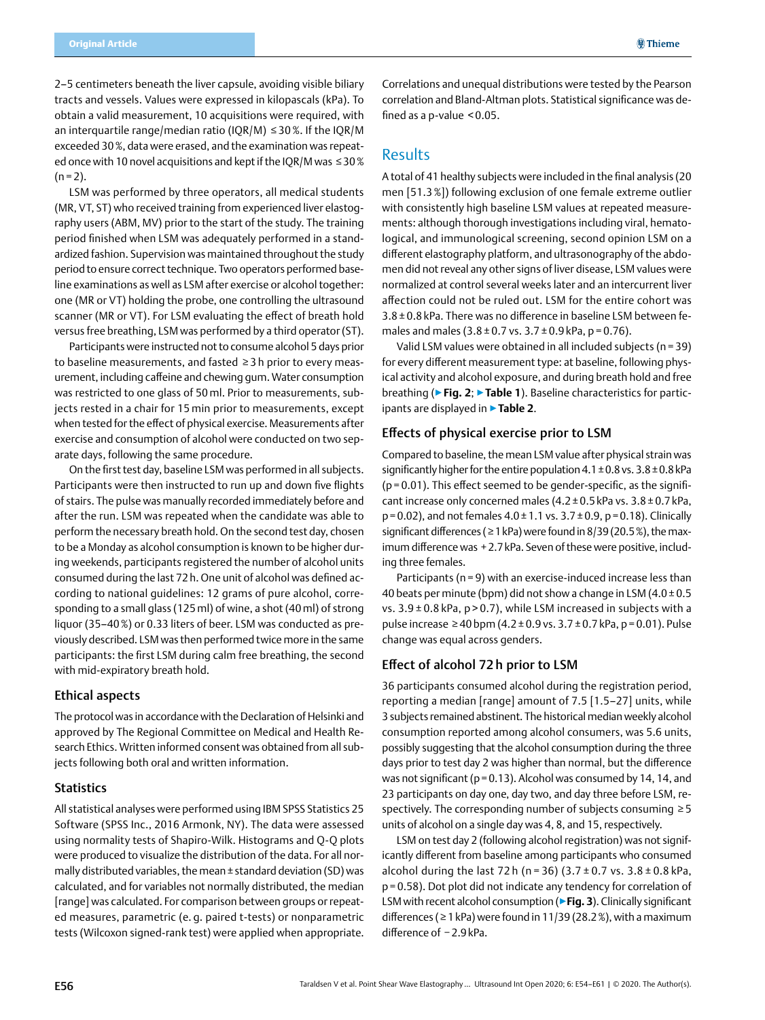2–5 centimeters beneath the liver capsule, avoiding visible biliary tracts and vessels. Values were expressed in kilopascals (kPa). To obtain a valid measurement, 10 acquisitions were required, with an interquartile range/median ratio (IQR/M) ≤ 30%. If the IQR/M exceeded 30%, data were erased, and the examination was repeated once with 10 novel acquisitions and kept if the IQR/M was ≤30%  $(n = 2)$ .

LSM was performed by three operators, all medical students (MR, VT, ST) who received training from experienced liver elastography users (ABM, MV) prior to the start of the study. The training period finished when LSM was adequately performed in a standardized fashion. Supervision was maintained throughout the study period to ensure correct technique. Two operators performed baseline examinations as well as LSM after exercise or alcohol together: one (MR or VT) holding the probe, one controlling the ultrasound scanner (MR or VT). For LSM evaluating the effect of breath hold versus free breathing, LSM was performed by a third operator (ST).

Participants were instructed not to consume alcohol 5 days prior to baseline measurements, and fasted ≥ 3 h prior to every measurement, including caffeine and chewing gum. Water consumption was restricted to one glass of 50 ml. Prior to measurements, subjects rested in a chair for 15 min prior to measurements, except when tested for the effect of physical exercise. Measurements after exercise and consumption of alcohol were conducted on two separate days, following the same procedure.

On the first test day, baseline LSM was performed in all subjects. Participants were then instructed to run up and down five flights of stairs. The pulse was manually recorded immediately before and after the run. LSM was repeated when the candidate was able to perform the necessary breath hold. On the second test day, chosen to be a Monday as alcohol consumption is known to be higher during weekends, participants registered the number of alcohol units consumed during the last 72 h. One unit of alcohol was defined according to national guidelines: 12 grams of pure alcohol, corresponding to a small glass (125 ml) of wine, a shot (40 ml) of strong liquor (35–40%) or 0.33 liters of beer. LSM was conducted as previously described. LSM was then performed twice more in the same participants: the first LSM during calm free breathing, the second with mid-expiratory breath hold.

#### Ethical aspects

The protocol was in accordance with the Declaration of Helsinki and approved by The Regional Committee on Medical and Health Research Ethics. Written informed consent was obtained from all subjects following both oral and written information.

## **Statistics**

All statistical analyses were performed using IBM SPSS Statistics 25 Software (SPSS Inc., 2016 Armonk, NY). The data were assessed using normality tests of Shapiro-Wilk. Histograms and Q-Q plots were produced to visualize the distribution of the data. For all normally distributed variables, the mean±standard deviation (SD) was calculated, and for variables not normally distributed, the median [range] was calculated. For comparison between groups or repeated measures, parametric (e. g. paired t-tests) or nonparametric tests (Wilcoxon signed-rank test) were applied when appropriate. Correlations and unequal distributions were tested by the Pearson correlation and Bland-Altman plots. Statistical significance was defined as a p-value < 0.05.

## Results

A total of 41 healthy subjects were included in the final analysis (20 men [51.3%]) following exclusion of one female extreme outlier with consistently high baseline LSM values at repeated measurements: although thorough investigations including viral, hematological, and immunological screening, second opinion LSM on a different elastography platform, and ultrasonography of the abdomen did not reveal any other signs of liver disease, LSM values were normalized at control several weeks later and an intercurrent liver affection could not be ruled out. LSM for the entire cohort was 3.8 ± 0.8 kPa. There was no difference in baseline LSM between females and males  $(3.8 \pm 0.7 \text{ vs. } 3.7 \pm 0.9 \text{ kPa}, p = 0.76)$ .

Valid LSM values were obtained in all included subjects (n = 39) for every different measurement type: at baseline, following physical activity and alcohol exposure, and during breath hold and free breathing (▶**Fig. 2**; ▶**Table 1**). Baseline characteristics for participants are displayed in ▶**Table 2**.

### Effects of physical exercise prior to LSM

Compared to baseline, the mean LSM value after physical strain was significantly higher for the entire population  $4.1\pm0.8$  vs.  $3.8\pm0.8$  kPa  $(p= 0.01)$ . This effect seemed to be gender-specific, as the significant increase only concerned males  $(4.2\pm0.5\,\text{kPa}\,\text{vs.}\,3.8\pm0.7\,\text{kPa},$  $p=0.02$ ), and not females  $4.0 \pm 1.1$  vs.  $3.7 \pm 0.9$ ,  $p=0.18$ ). Clinically significant differences ( $\geq$  1 kPa) were found in 8/39 (20.5%), the maximum difference was +2.7kPa. Seven of these were positive, including three females.

Participants (n = 9) with an exercise-induced increase less than 40 beats per minute (bpm) did not show a change in LSM  $(4.0\pm0.5$ vs.  $3.9 \pm 0.8$  kPa,  $p > 0.7$ ), while LSM increased in subjects with a pulse increase ≥40 bpm (4.2 ± 0.9 vs. 3.7 ± 0.7 kPa, p = 0.01). Pulse change was equal across genders.

### Effect of alcohol 72 h prior to LSM

36 participants consumed alcohol during the registration period, reporting a median [range] amount of 7.5 [1.5–27] units, while 3 subjects remained abstinent. The historical median weekly alcohol consumption reported among alcohol consumers, was 5.6 units, possibly suggesting that the alcohol consumption during the three days prior to test day 2 was higher than normal, but the difference was not significant ( $p = 0.13$ ). Alcohol was consumed by 14, 14, and 23 participants on day one, day two, and day three before LSM, respectively. The corresponding number of subjects consuming ≥5 units of alcohol on a single day was 4, 8, and 15, respectively.

LSM on test day 2 (following alcohol registration) was not significantly different from baseline among participants who consumed alcohol during the last 72 h (n = 36) (3.7 ± 0.7 vs.  $3.8 \pm 0.8$  kPa, p=0.58). Dot plot did not indicate any tendency for correlation of LSM with recent alcohol consumption (▶**Fig. 3**). Clinically significant differences ( $\geq 1$  kPa) were found in 11/39 (28.2%), with a maximum difference of −2.9kPa.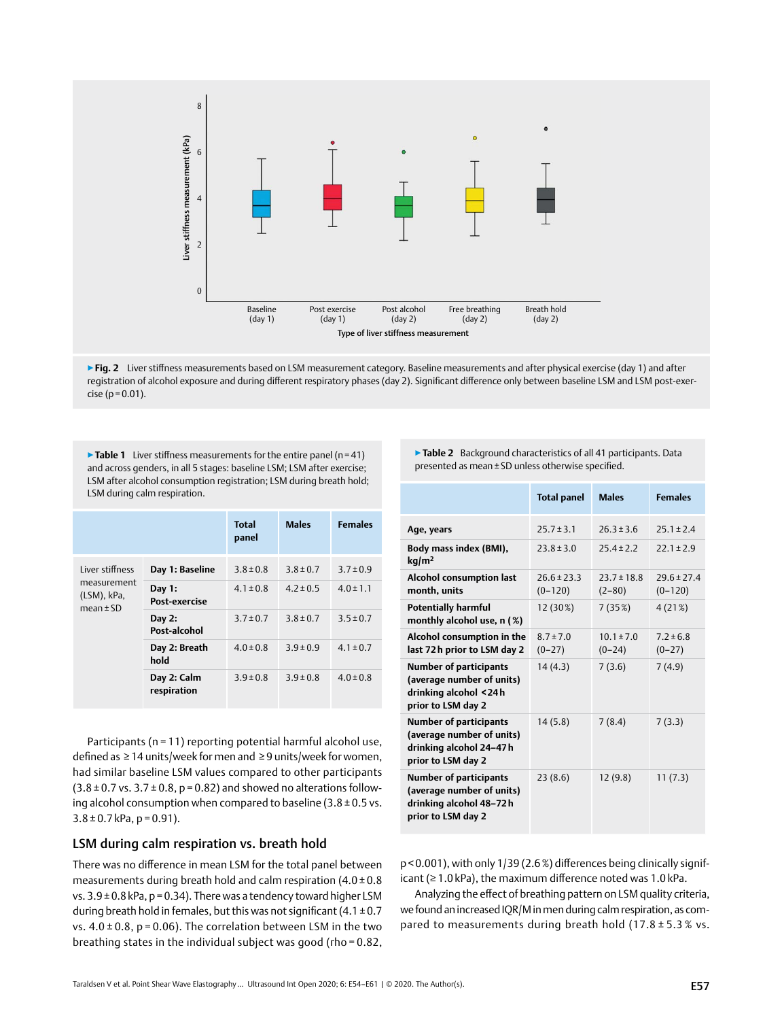

▶ Fig. 2 Liver stiffness measurements based on LSM measurement category. Baseline measurements and after physical exercise (day 1) and after registration of alcohol exposure and during different respiratory phases (day 2). Significant difference only between baseline LSM and LSM post-exer $cise (p=0.01)$ .

▶ Table 1 Liver stiffness measurements for the entire panel (n=41) and across genders, in all 5 stages: baseline LSM; LSM after exercise; LSM after alcohol consumption registration; LSM during breath hold; LSM during calm respiration.

|                                                                |                            | <b>Total</b><br>panel | <b>Males</b>  | <b>Females</b> |
|----------------------------------------------------------------|----------------------------|-----------------------|---------------|----------------|
| Liver stiffness<br>measurement<br>(LSM), kPa,<br>mean $\pm$ SD | Day 1: Baseline            | $3.8 \pm 0.8$         | $3.8 \pm 0.7$ | $3.7 \pm 0.9$  |
|                                                                | Day 1:<br>Post-exercise    | $4.1 \pm 0.8$         | $4.2 \pm 0.5$ | $4.0 \pm 1.1$  |
|                                                                | Day 2:<br>Post-alcohol     | $3.7 \pm 0.7$         | $3.8 \pm 0.7$ | $3.5 \pm 0.7$  |
|                                                                | Day 2: Breath<br>hold      | $4.0 \pm 0.8$         | $3.9 \pm 0.9$ | $4.1 \pm 0.7$  |
|                                                                | Day 2: Calm<br>respiration | $3.9 \pm 0.8$         | $3.9 \pm 0.8$ | $4.0 \pm 0.8$  |

Participants (n = 11) reporting potential harmful alcohol use, defined as ≥14 units/week for men and ≥9 units/week for women, had similar baseline LSM values compared to other participants  $(3.8 \pm 0.7 \text{ vs. } 3.7 \pm 0.8, \text{ p} = 0.82)$  and showed no alterations following alcohol consumption when compared to baseline  $(3.8 \pm 0.5 \text{ vs.})$  $3.8 \pm 0.7$  kPa, p = 0.91).

## LSM during calm respiration vs. breath hold

There was no difference in mean LSM for the total panel between measurements during breath hold and calm respiration  $(4.0 \pm 0.8)$ vs.  $3.9\pm0.8$  kPa, p = 0.34). There was a tendency toward higher LSM during breath hold in females, but this was not significant (4.1 $\pm$ 0.7 vs.  $4.0 \pm 0.8$ , p = 0.06). The correlation between LSM in the two breathing states in the individual subject was good (rho = 0.82, ▶**Table 2** Background characteristics of all 41 participants. Data presented as mean±SD unless otherwise specified.

|                                                                                                             | <b>Total panel</b>           | <b>Males</b>                  | <b>Females</b>                 |
|-------------------------------------------------------------------------------------------------------------|------------------------------|-------------------------------|--------------------------------|
| Age, years                                                                                                  | $25.7 \pm 3.1$               | $26.3 \pm 3.6$                | $25.1 \pm 2.4$                 |
| Body mass index (BMI),<br>kq/m <sup>2</sup>                                                                 | $23.8 \pm 3.0$               | $75.4 \pm 7.7$                | $22.1 \pm 2.9$                 |
| <b>Alcohol consumption last</b><br>month, units                                                             | $26.6 \pm 23.3$<br>$(0-120)$ | $73.7 \pm 18.8$<br>$(2 - 80)$ | $79.6 \pm 77.4$<br>$(0 - 120)$ |
| <b>Potentially harmful</b><br>monthly alcohol use, n (%)                                                    | 12 (30%)                     | 7(35%)                        | 4 (21%)                        |
| Alcohol consumption in the<br>last 72h prior to LSM day 2                                                   | $8.7 \pm 7.0$<br>$(0-27)$    | $10.1 \pm 7.0$<br>$(0-24)$    | $7.2 \pm 6.8$<br>$(0-27)$      |
| <b>Number of participants</b><br>(average number of units)<br>drinking alcohol <24h<br>prior to LSM day 2   | 14(4.3)                      | 7(3.6)                        | 7(4.9)                         |
| <b>Number of participants</b><br>(average number of units)<br>drinking alcohol 24-47h<br>prior to LSM day 2 | 14(5.8)                      | 7(8.4)                        | 7(3.3)                         |
| <b>Number of participants</b><br>(average number of units)<br>drinking alcohol 48-72h<br>prior to LSM day 2 | 23(8.6)                      | 12(9.8)                       | 11(7.3)                        |

p< 0.001), with only 1/39 (2.6%) differences being clinically significant (≥ 1.0 kPa), the maximum difference noted was 1.0 kPa.

Analyzing the effect of breathing pattern on LSM quality criteria, we found an increased IQR/M in men during calm respiration, as compared to measurements during breath hold (17.8 ± 5.3 % vs.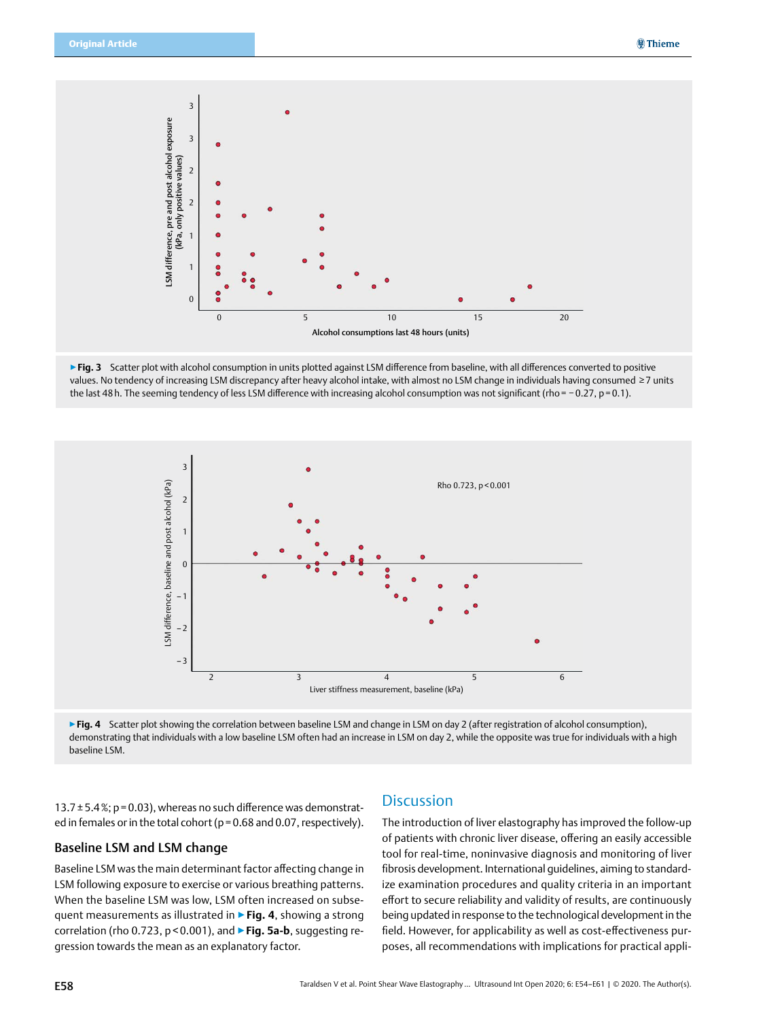





▶ Fig. 4 Scatter plot showing the correlation between baseline LSM and change in LSM on day 2 (after registration of alcohol consumption), demonstrating that individuals with a low baseline LSM often had an increase in LSM on day 2, while the opposite was true for individuals with a high baseline LSM.

13.7 $\pm$ 5.4%; p=0.03), whereas no such difference was demonstrated in females or in the total cohort ( $p = 0.68$  and 0.07, respectively).

## Baseline LSM and LSM change

Baseline LSM was the main determinant factor affecting change in LSM following exposure to exercise or various breathing patterns. When the baseline LSM was low, LSM often increased on subsequent measurements as illustrated in ▶**Fig. 4**, showing a strong correlation (rho 0.723, p < 0.001), and ▶**Fig. 5a-b**, suggesting regression towards the mean as an explanatory factor.

## **Discussion**

The introduction of liver elastography has improved the follow-up of patients with chronic liver disease, offering an easily accessible tool for real-time, noninvasive diagnosis and monitoring of liver fibrosis development. International guidelines, aiming to standardize examination procedures and quality criteria in an important effort to secure reliability and validity of results, are continuously being updated in response to the technological development in the field. However, for applicability as well as cost-effectiveness purposes, all recommendations with implications for practical appli-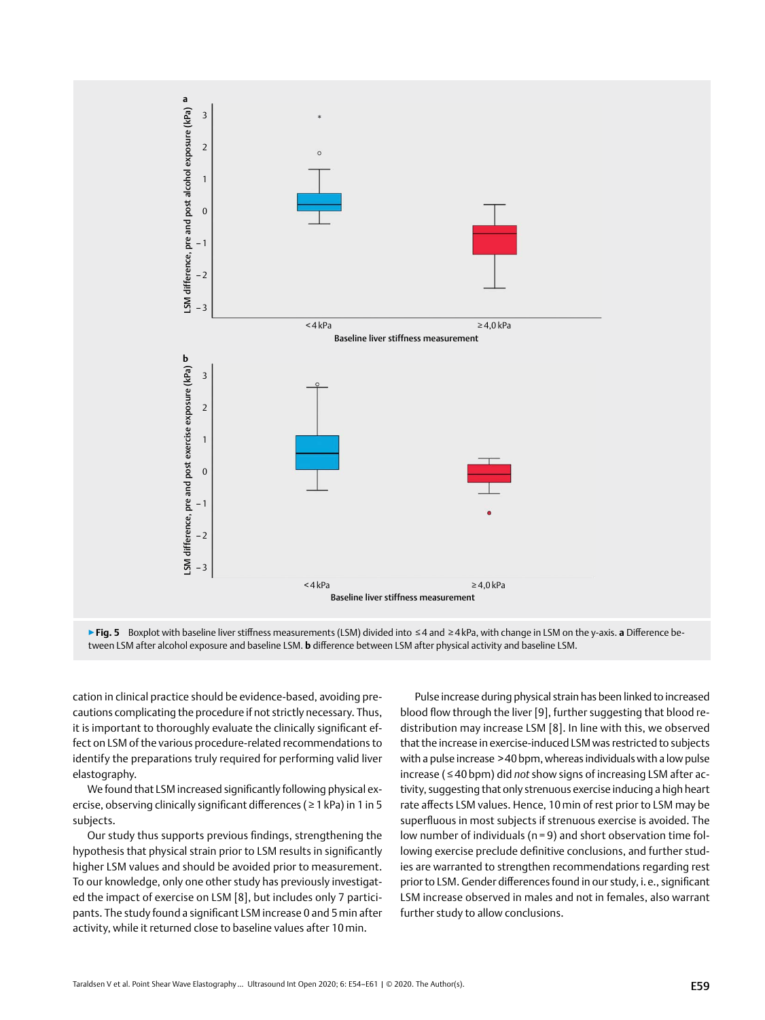



cation in clinical practice should be evidence-based, avoiding precautions complicating the procedure if not strictly necessary. Thus, it is important to thoroughly evaluate the clinically significant effect on LSM of the various procedure-related recommendations to identify the preparations truly required for performing valid liver elastography.

We found that LSM increased significantly following physical exercise, observing clinically significant differences (≥ 1 kPa) in 1 in 5 subjects.

Our study thus supports previous findings, strengthening the hypothesis that physical strain prior to LSM results in significantly higher LSM values and should be avoided prior to measurement. To our knowledge, only one other study has previously investigated the impact of exercise on LSM [8], but includes only 7 participants. The study found a significant LSM increase 0 and 5min after activity, while it returned close to baseline values after 10min.

Pulse increase during physical strain has been linked to increased blood flow through the liver [9], further suggesting that blood redistribution may increase LSM [8]. In line with this, we observed that the increase in exercise-induced LSM was restricted to subjects with a pulse increase >40bpm, whereas individuals with a low pulse increase ( ≤ 40 bpm) did *not* show signs of increasing LSM after activity, suggesting that only strenuous exercise inducing a high heart rate affects LSM values. Hence, 10min of rest prior to LSM may be superfluous in most subjects if strenuous exercise is avoided. The low number of individuals (n = 9) and short observation time following exercise preclude definitive conclusions, and further studies are warranted to strengthen recommendations regarding rest prior to LSM. Gender differences found in our study, i. e., significant LSM increase observed in males and not in females, also warrant further study to allow conclusions.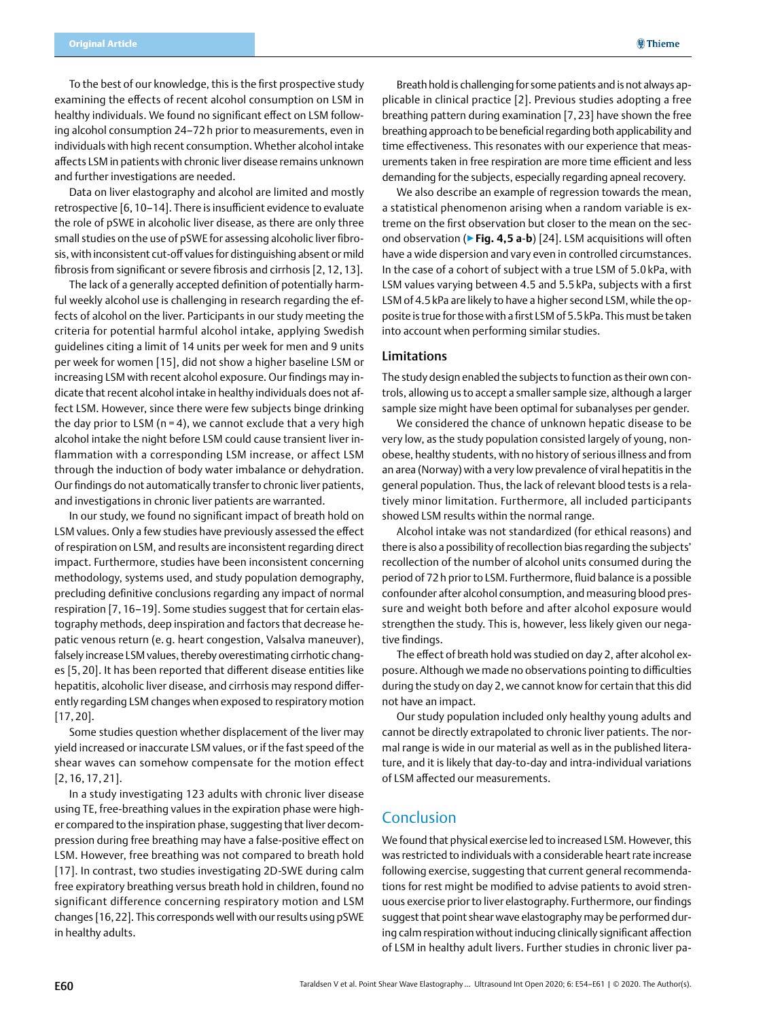**@Thieme** 

To the best of our knowledge, this is the first prospective study examining the effects of recent alcohol consumption on LSM in healthy individuals. We found no significant effect on LSM following alcohol consumption 24–72 h prior to measurements, even in individuals with high recent consumption. Whether alcohol intake affects LSM in patients with chronic liver disease remains unknown and further investigations are needed.

Data on liver elastography and alcohol are limited and mostly retrospective [6, 10–14]. There is insufficient evidence to evaluate the role of pSWE in alcoholic liver disease, as there are only three small studies on the use of pSWE for assessing alcoholic liver fibrosis, with inconsistent cut-off values for distinguishing absent or mild fibrosis from significant or severe fibrosis and cirrhosis [2, 12, 13].

The lack of a generally accepted definition of potentially harmful weekly alcohol use is challenging in research regarding the effects of alcohol on the liver. Participants in our study meeting the criteria for potential harmful alcohol intake, applying Swedish guidelines citing a limit of 14 units per week for men and 9 units per week for women [15], did not show a higher baseline LSM or increasing LSM with recent alcohol exposure. Our findings may indicate that recent alcohol intake in healthy individuals does not affect LSM. However, since there were few subjects binge drinking the day prior to LSM ( $n = 4$ ), we cannot exclude that a very high alcohol intake the night before LSM could cause transient liver inflammation with a corresponding LSM increase, or affect LSM through the induction of body water imbalance or dehydration. Our findings do not automatically transfer to chronic liver patients, and investigations in chronic liver patients are warranted.

In our study, we found no significant impact of breath hold on LSM values. Only a few studies have previously assessed the effect of respiration on LSM, and results are inconsistent regarding direct impact. Furthermore, studies have been inconsistent concerning methodology, systems used, and study population demography, precluding definitive conclusions regarding any impact of normal respiration [7, 16–19]. Some studies suggest that for certain elastography methods, deep inspiration and factors that decrease hepatic venous return (e. g. heart congestion, Valsalva maneuver), falsely increase LSM values, thereby overestimating cirrhotic changes [5, 20]. It has been reported that different disease entities like hepatitis, alcoholic liver disease, and cirrhosis may respond differently regarding LSM changes when exposed to respiratory motion [17, 20].

Some studies question whether displacement of the liver may yield increased or inaccurate LSM values, or if the fast speed of the shear waves can somehow compensate for the motion effect [2, 16, 17, 21].

In a study investigating 123 adults with chronic liver disease using TE, free-breathing values in the expiration phase were higher compared to the inspiration phase, suggesting that liver decompression during free breathing may have a false-positive effect on LSM. However, free breathing was not compared to breath hold [17]. In contrast, two studies investigating 2D-SWE during calm free expiratory breathing versus breath hold in children, found no significant difference concerning respiratory motion and LSM changes [16,22]. This corresponds well with our results using pSWE in healthy adults.

Breath hold is challenging for some patients and is not always applicable in clinical practice [2]. Previous studies adopting a free breathing pattern during examination [7,23] have shown the free breathing approach to be beneficial regarding both applicability and time effectiveness. This resonates with our experience that measurements taken in free respiration are more time efficient and less demanding for the subjects, especially regarding apneal recovery.

We also describe an example of regression towards the mean, a statistical phenomenon arising when a random variable is extreme on the first observation but closer to the mean on the second observation (▶**Fig. 4, 5 a**-**b**) [24]. LSM acquisitions will often have a wide dispersion and vary even in controlled circumstances. In the case of a cohort of subject with a true LSM of 5.0 kPa, with LSM values varying between 4.5 and 5.5 kPa, subjects with a first LSM of 4.5kPa are likely to have a higher second LSM, while the opposite is true for those with a first LSM of 5.5kPa. This must be taken into account when performing similar studies.

#### Limitations

The study design enabled the subjects to function as their own controls, allowing us to accept a smaller sample size, although a larger sample size might have been optimal for subanalyses per gender.

We considered the chance of unknown hepatic disease to be very low, as the study population consisted largely of young, nonobese, healthy students, with no history of serious illness and from an area (Norway) with a very low prevalence of viral hepatitis in the general population. Thus, the lack of relevant blood tests is a relatively minor limitation. Furthermore, all included participants showed LSM results within the normal range.

Alcohol intake was not standardized (for ethical reasons) and there is also a possibility of recollection bias regarding the subjects' recollection of the number of alcohol units consumed during the period of 72h prior to LSM. Furthermore, fluid balance is a possible confounder after alcohol consumption, and measuring blood pressure and weight both before and after alcohol exposure would strengthen the study. This is, however, less likely given our negative findings.

The effect of breath hold was studied on day 2, after alcohol exposure. Although we made no observations pointing to difficulties during the study on day 2, we cannot know for certain that this did not have an impact.

Our study population included only healthy young adults and cannot be directly extrapolated to chronic liver patients. The normal range is wide in our material as well as in the published literature, and it is likely that day-to-day and intra-individual variations of LSM affected our measurements.

## Conclusion

We found that physical exercise led to increased LSM. However, this was restricted to individuals with a considerable heart rate increase following exercise, suggesting that current general recommendations for rest might be modified to advise patients to avoid strenuous exercise prior to liver elastography. Furthermore, our findings suggest that point shear wave elastography may be performed during calm respiration without inducing clinically significant affection of LSM in healthy adult livers. Further studies in chronic liver pa